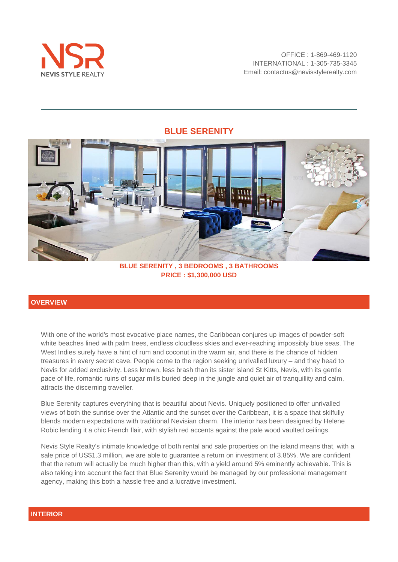



**BLUE SERENITY , 3 BEDROOMS , 3 BATHROOMS PRICE : \$1,300,000 USD**

# **OVERVIEW**

With one of the world's most evocative place names, the Caribbean conjures up images of powder-soft white beaches lined with palm trees, endless cloudless skies and ever-reaching impossibly blue seas. The West Indies surely have a hint of rum and coconut in the warm air, and there is the chance of hidden treasures in every secret cave. People come to the region seeking unrivalled luxury – and they head to Nevis for added exclusivity. Less known, less brash than its sister island St Kitts, Nevis, with its gentle pace of life, romantic ruins of sugar mills buried deep in the jungle and quiet air of tranquillity and calm, attracts the discerning traveller.

Blue Serenity captures everything that is beautiful about Nevis. Uniquely positioned to offer unrivalled views of both the sunrise over the Atlantic and the sunset over the Caribbean, it is a space that skilfully blends modern expectations with traditional Nevisian charm. The interior has been designed by Helene Robic lending it a chic French flair, with stylish red accents against the pale wood vaulted ceilings.

Nevis Style Realty's intimate knowledge of both rental and sale properties on the island means that, with a sale price of US\$1.3 million, we are able to guarantee a return on investment of 3.85%. We are confident that the return will actually be much higher than this, with a yield around 5% eminently achievable. This is also taking into account the fact that Blue Serenity would be managed by our professional management agency, making this both a hassle free and a lucrative investment.

### **INTERIOR**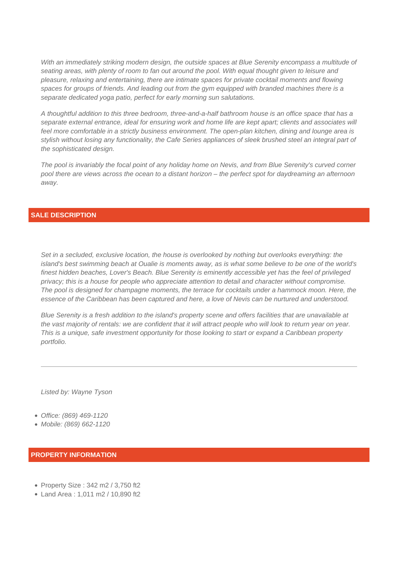With an immediately striking modern design, the outside spaces at Blue Serenity encompass a multitude of seating areas, with plenty of room to fan out around the pool. With equal thought given to leisure and pleasure, relaxing and entertaining, there are intimate spaces for private cocktail moments and flowing spaces for groups of friends. And leading out from the gym equipped with branded machines there is a separate dedicated yoga patio, perfect for early morning sun salutations.

A thoughtful addition to this three bedroom, three-and-a-half bathroom house is an office space that has a separate external entrance, ideal for ensuring work and home life are kept apart; clients and associates will feel more comfortable in a strictly business environment. The open-plan kitchen, dining and lounge area is stylish without losing any functionality, the Cafe Series appliances of sleek brushed steel an integral part of the sophisticated design.

The pool is invariably the focal point of any holiday home on Nevis, and from Blue Serenity's curved corner pool there are views across the ocean to a distant horizon – the perfect spot for daydreaming an afternoon away.

## **SALE DESCRIPTION**

Set in a secluded, exclusive location, the house is overlooked by nothing but overlooks everything: the island's best swimming beach at Oualie is moments away, as is what some believe to be one of the world's finest hidden beaches, Lover's Beach. Blue Serenity is eminently accessible yet has the feel of privileged privacy; this is a house for people who appreciate attention to detail and character without compromise. The pool is designed for champagne moments, the terrace for cocktails under a hammock moon. Here, the essence of the Caribbean has been captured and here, a love of Nevis can be nurtured and understood.

Blue Serenity is a fresh addition to the island's property scene and offers facilities that are unavailable at the vast majority of rentals: we are confident that it will attract people who will look to return year on year. This is a unique, safe investment opportunity for those looking to start or expand a Caribbean property portfolio.

Listed by: Wayne Tyson

- Office: (869) 469-1120
- Mobile: (869) 662-1120

#### **PROPERTY INFORMATION**

- Property Size: 342 m2 / 3,750 ft2
- Land Area : 1,011 m2 / 10,890 ft2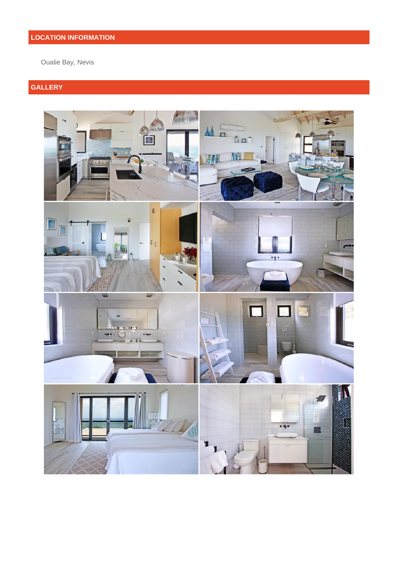# **LOCATION INFORMATION**

Oualie Bay, Nevis

# **GALLERY**